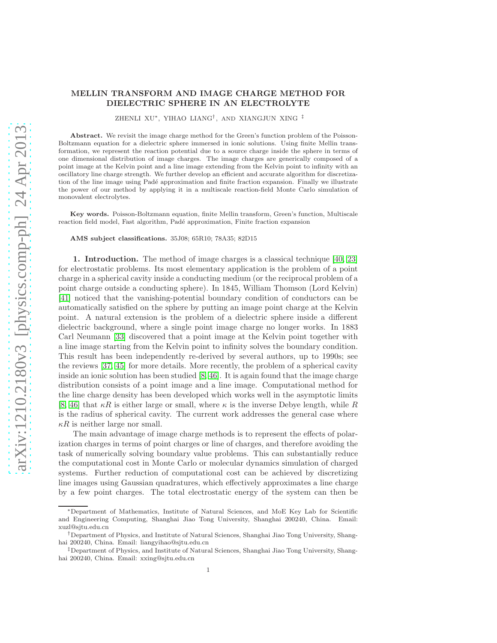# MELLIN TRANSFORM AND IMAGE CHARGE METHOD FOR DIELECTRIC SPHERE IN AN ELECTROLYTE

ZHENLI XU<sup>∗</sup> , YIHAO LIANG† , AND XIANGJUN XING ‡

Abstract. We revisit the image charge method for the Green's function problem of the Poisson-Boltzmann equation for a dielectric sphere immersed in ionic solutions. Using finite Mellin transformation, we represent the reaction potential due to a source charge inside the sphere in terms of one dimensional distribution of image charges. The image charges are generically composed of a point image at the Kelvin point and a line image extending from the Kelvin point to infinity with an oscillatory line charge strength. We further develop an efficient and accurate algorithm for discretization of the line image using Padé approximation and finite fraction expansion. Finally we illustrate the power of our method by applying it in a multiscale reaction-field Monte Carlo simulation of monovalent electrolytes.

Key words. Poisson-Boltzmann equation, finite Mellin transform, Green's function, Multiscale reaction field model, Fast algorithm, Padé approximation, Finite fraction expansion

AMS subject classifications. 35J08; 65R10; 78A35; 82D15

1. Introduction. The method of image charges is a classical technique [\[40,](#page-19-0) [23\]](#page-18-0) for electrostatic problems. Its most elementary application is the problem of a point charge in a spherical cavity inside a conducting medium (or the reciprocal problem of a point charge outside a conducting sphere). In 1845, William Thomson (Lord Kelvin) [\[41\]](#page-19-1) noticed that the vanishing-potential boundary condition of conductors can be automatically satisfied on the sphere by putting an image point charge at the Kelvin point. A natural extension is the problem of a dielectric sphere inside a different dielectric background, where a single point image charge no longer works. In 1883 Carl Neumann [\[33\]](#page-18-1) discovered that a point image at the Kelvin point together with a line image starting from the Kelvin point to infinity solves the boundary condition. This result has been independently re-derived by several authors, up to 1990s; see the reviews [\[37,](#page-19-2) [45\]](#page-19-3) for more details. More recently, the problem of a spherical cavity inside an ionic solution has been studied [\[8,](#page-18-2) [46\]](#page-19-4). It is again found that the image charge distribution consists of a point image and a line image. Computational method for the line charge density has been developed which works well in the asymptotic limits [\[8,](#page-18-2) [46\]](#page-19-4) that  $\kappa R$  is either large or small, where  $\kappa$  is the inverse Debye length, while R is the radius of spherical cavity. The current work addresses the general case where  $\kappa R$  is neither large nor small.

The main advantage of image charge methods is to represent the effects of polarization charges in terms of point charges or line of charges, and therefore avoiding the task of numerically solving boundary value problems. This can substantially reduce the computational cost in Monte Carlo or molecular dynamics simulation of charged systems. Further reduction of computational cost can be achieved by discretizing line images using Gaussian quadratures, which effectively approximates a line charge by a few point charges. The total electrostatic energy of the system can then be

<sup>∗</sup>Department of Mathematics, Institute of Natural Sciences, and MoE Key Lab for Scientific and Engineering Computing, Shanghai Jiao Tong University, Shanghai 200240, China. Email: xuzl@sjtu.edu.cn

<sup>†</sup>Department of Physics, and Institute of Natural Sciences, Shanghai Jiao Tong University, Shanghai 200240, China. Email: liangyihao@sjtu.edu.cn

<sup>‡</sup>Department of Physics, and Institute of Natural Sciences, Shanghai Jiao Tong University, Shanghai 200240, China. Email: xxing@sjtu.edu.cn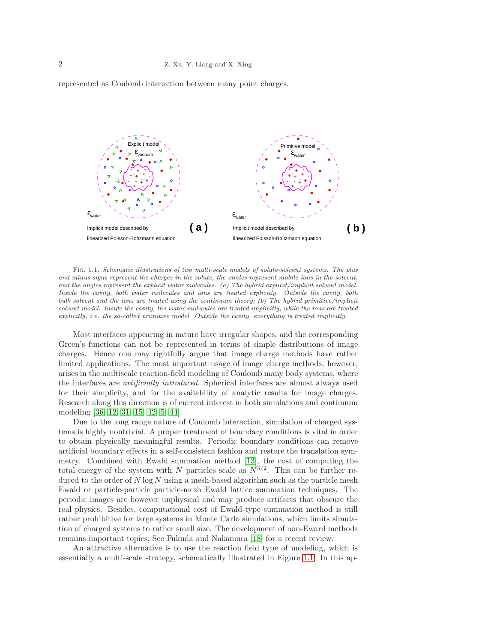



Fig. 1.1. Schematic illustrations of two multi-scale models of solute-solvent systems. The plus and minus signs represent the charges in the solute, the circles represent mobile ions in the solvent, and the angles represent the explicit water molecules. (a) The hybrid explicit/implicit solvent model. Inside the cavity, both water molecules and ions are treated explicitly. Outside the cavity, both bulk solvent and the ions are treated using the continuum theory; (b) The hybrid primitive/implicit solvent model. Inside the cavity, the water molecules are treated implicitly, while the ions are treated explicitly, i.e. the so-called primitive model. Outside the cavity, everything is treated implicitly.

Most interfaces appearing in nature have irregular shapes, and the corresponding Green's functions can not be represented in terms of simple distributions of image charges. Hence one may rightfully argue that image charge methods have rather limited applications. The most important usage of image charge methods, however, arises in the multiscale reaction-field modeling of Coulomb many body systems, where the interfaces are artificially introduced. Spherical interfaces are almost always used for their simplicity, and for the availability of analytic results for image charges. Research along this direction is of current interest in both simulations and continuum modeling [\[36,](#page-19-5) [12,](#page-18-3) [31,](#page-18-4) [15,](#page-18-5) [42,](#page-19-6) [5,](#page-17-0) [44\]](#page-19-7).

Due to the long range nature of Coulomb interaction, simulation of charged systems is highly nontrivial. A proper treatment of boundary conditions is vital in order to obtain physically meaningful results. Periodic boundary conditions can remove artificial boundary effects in a self-consistent fashion and restore the translation symmetry. Combined with Ewald summation method [\[13\]](#page-18-6), the cost of computing the total energy of the system with N particles scale as  $N^{3/2}$ . This can be further reduced to the order of  $N \log N$  using a mesh-based algorithm such as the particle mesh Ewald or particle-particle particle-mesh Ewald lattice summation techniques. The periodic images are however unphysical and may produce artifacts that obscure the real physics. Besides, computational cost of Ewald-type summation method is still rather prohibitive for large systems in Monte Carlo simulations, which limits simulation of charged systems to rather small size. The development of non-Eward methods remains important topics; See Fukuda and Nakamura [\[18\]](#page-18-7) for a recent review.

An attractive alternative is to use the reaction field type of modeling, which is essentially a multi-scale strategy, schematically illustrated in Figure [1.1.](#page-13-0) In this ap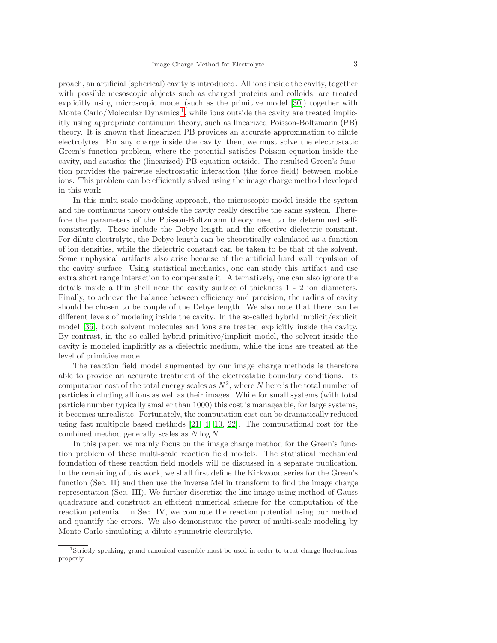proach, an artificial (spherical) cavity is introduced. All ions inside the cavity, together with possible mesoscopic objects such as charged proteins and colloids, are treated explicitly using microscopic model (such as the primitive model [\[30\]](#page-18-8)) together with Monte Carlo/Molecular Dynamics<sup>[1](#page-2-0)</sup>, while ions outside the cavity are treated implicitly using appropriate continuum theory, such as linearized Poisson-Boltzmann (PB) theory. It is known that linearized PB provides an accurate approximation to dilute electrolytes. For any charge inside the cavity, then, we must solve the electrostatic Green's function problem, where the potential satisfies Poisson equation inside the cavity, and satisfies the (linearized) PB equation outside. The resulted Green's function provides the pairwise electrostatic interaction (the force field) between mobile ions. This problem can be efficiently solved using the image charge method developed in this work.

In this multi-scale modeling approach, the microscopic model inside the system and the continuous theory outside the cavity really describe the same system. Therefore the parameters of the Poisson-Boltzmann theory need to be determined selfconsistently. These include the Debye length and the effective dielectric constant. For dilute electrolyte, the Debye length can be theoretically calculated as a function of ion densities, while the dielectric constant can be taken to be that of the solvent. Some unphysical artifacts also arise because of the artificial hard wall repulsion of the cavity surface. Using statistical mechanics, one can study this artifact and use extra short range interaction to compensate it. Alternatively, one can also ignore the details inside a thin shell near the cavity surface of thickness 1 - 2 ion diameters. Finally, to achieve the balance between efficiency and precision, the radius of cavity should be chosen to be couple of the Debye length. We also note that there can be different levels of modeling inside the cavity. In the so-called hybrid implicit/explicit model [\[36\]](#page-19-5), both solvent molecules and ions are treated explicitly inside the cavity. By contrast, in the so-called hybrid primitive/implicit model, the solvent inside the cavity is modeled implicitly as a dielectric medium, while the ions are treated at the level of primitive model.

The reaction field model augmented by our image charge methods is therefore able to provide an accurate treatment of the electrostatic boundary conditions. Its computation cost of the total energy scales as  $N^2$ , where N here is the total number of particles including all ions as well as their images. While for small systems (with total particle number typically smaller than 1000) this cost is manageable, for large systems, it becomes unrealistic. Fortunately, the computation cost can be dramatically reduced using fast multipole based methods [\[21,](#page-18-9) [4,](#page-17-1) [10,](#page-18-10) [22\]](#page-18-11). The computational cost for the combined method generally scales as N log N.

In this paper, we mainly focus on the image charge method for the Green's function problem of these multi-scale reaction field models. The statistical mechanical foundation of these reaction field models will be discussed in a separate publication. In the remaining of this work, we shall first define the Kirkwood series for the Green's function (Sec. II) and then use the inverse Mellin transform to find the image charge representation (Sec. III). We further discretize the line image using method of Gauss quadrature and construct an efficient numerical scheme for the computation of the reaction potential. In Sec. IV, we compute the reaction potential using our method and quantify the errors. We also demonstrate the power of multi-scale modeling by Monte Carlo simulating a dilute symmetric electrolyte.

<span id="page-2-0"></span><sup>1</sup>Strictly speaking, grand canonical ensemble must be used in order to treat charge fluctuations properly.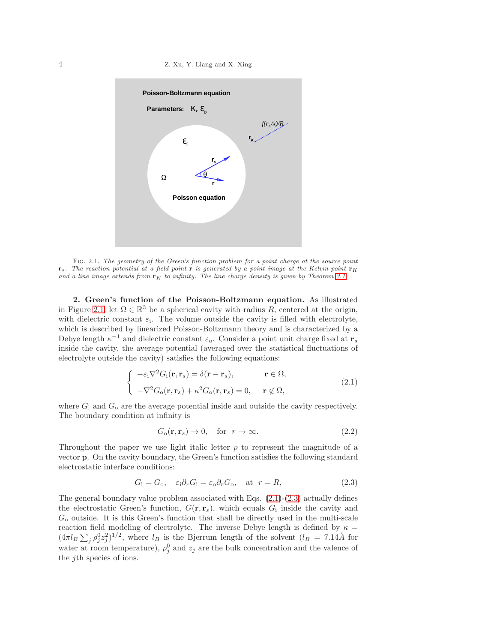### 4 Z. Xu, Y. Liang and X. Xing



FIG. 2.1. The geometry of the Green's function problem for a point charge at the source point  $\mathbf{r}_s$ . The reaction potential at a field point  $\mathbf{r}$  is generated by a point image at the Kelvin point  $\mathbf{r}_K$ and a line image extends from  $\mathbf{r}_K$  to infinity. The line charge density is given by Theorem [3.1.](#page-6-0)

2. Green's function of the Poisson-Boltzmann equation. As illustrated in Figure [2.1,](#page-13-0) let  $\Omega \in \mathbb{R}^3$  be a spherical cavity with radius R, centered at the origin, with dielectric constant  $\varepsilon_i$ . The volume outside the cavity is filled with electrolyte, which is described by linearized Poisson-Boltzmann theory and is characterized by a Debye length  $\kappa^{-1}$  and dielectric constant  $\varepsilon_{0}$ . Consider a point unit charge fixed at  $\mathbf{r}_{s}$ inside the cavity, the average potential (averaged over the statistical fluctuations of electrolyte outside the cavity) satisfies the following equations:

<span id="page-3-0"></span>
$$
\begin{cases}\n-\varepsilon_{\rm i}\nabla^2 G_{\rm i}(\mathbf{r}, \mathbf{r}_s) = \delta(\mathbf{r} - \mathbf{r}_s), & \mathbf{r} \in \Omega, \\
-\nabla^2 G_{\rm o}(\mathbf{r}, \mathbf{r}_s) + \kappa^2 G_{\rm o}(\mathbf{r}, \mathbf{r}_s) = 0, & \mathbf{r} \notin \Omega,\n\end{cases}
$$
\n(2.1)

where  $G_i$  and  $G_o$  are the average potential inside and outside the cavity respectively. The boundary condition at infinity is

$$
G_{\mathbf{o}}(\mathbf{r}, \mathbf{r}_s) \to 0, \quad \text{for } r \to \infty. \tag{2.2}
$$

Throughout the paper we use light italic letter  $p$  to represent the magnitude of a vector p. On the cavity boundary, the Green's function satisfies the following standard electrostatic interface conditions:

<span id="page-3-1"></span>
$$
G_{\rm i} = G_{\rm o}, \quad \varepsilon_{\rm i} \partial_r G_{\rm i} = \varepsilon_{\rm o} \partial_r G_{\rm o}, \quad \text{at } r = R,\tag{2.3}
$$

The general boundary value problem associated with Eqs.  $(2.1)-(2.3)$  $(2.1)-(2.3)$  actually defines the electrostatic Green's function,  $G(\mathbf{r}, \mathbf{r}_s)$ , which equals  $G_i$  inside the cavity and  $G<sub>o</sub>$  outside. It is this Green's function that shall be directly used in the multi-scale reaction field modeling of electrolyte. The inverse Debye length is defined by  $\kappa =$  $(4\pi l_B \sum_j \rho_j^0 z_j^2)^{1/2}$ , where  $l_B$  is the Bjerrum length of the solvent  $(l_B = 7.14\text{Å}$  for water at room temperature),  $\rho_j^0$  and  $z_j$  are the bulk concentration and the valence of the jth species of ions.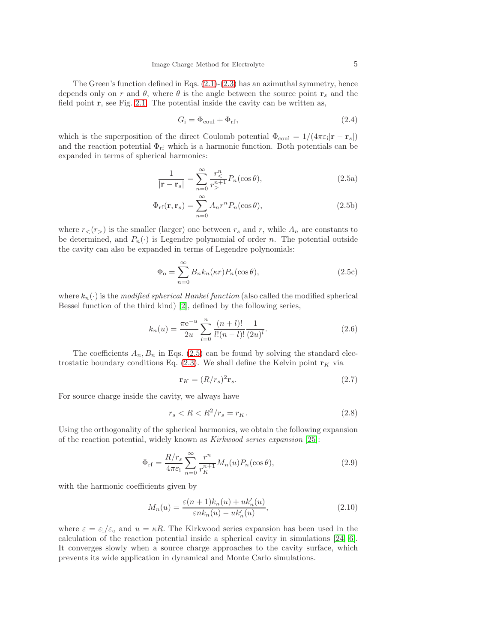The Green's function defined in Eqs.  $(2.1)-(2.3)$  $(2.1)-(2.3)$  has an azimuthal symmetry, hence depends only on r and  $\theta$ , where  $\theta$  is the angle between the source point  $\mathbf{r}_s$  and the field point  $r$ , see Fig. [2.1.](#page-13-0) The potential inside the cavity can be written as,

<span id="page-4-0"></span>
$$
G_{\rm i} = \Phi_{\rm coul} + \Phi_{\rm rf},\tag{2.4}
$$

which is the superposition of the direct Coulomb potential  $\Phi_{\text{coul}} = 1/(4\pi \varepsilon_i |\mathbf{r} - \mathbf{r}_s|)$ and the reaction potential  $\Phi_{\rm rf}$  which is a harmonic function. Both potentials can be expanded in terms of spherical harmonics:

<span id="page-4-3"></span>
$$
\frac{1}{|\mathbf{r} - \mathbf{r}_s|} = \sum_{n=0}^{\infty} \frac{r_{<}^{n}}{r_{>}^{n+1}} P_n(\cos \theta),\tag{2.5a}
$$

$$
\Phi_{\rm rf}(\mathbf{r}, \mathbf{r}_s) = \sum_{n=0}^{\infty} A_n r^n P_n(\cos \theta), \qquad (2.5b)
$$

where  $r<sub>lt</sub>(r<sub>gt</sub>)$  is the smaller (larger) one between  $r<sub>s</sub>$  and r, while  $A<sub>n</sub>$  are constants to be determined, and  $P_n(\cdot)$  is Legendre polynomial of order n. The potential outside the cavity can also be expanded in terms of Legendre polynomials:

$$
\Phi_{\rm o} = \sum_{n=0}^{\infty} B_n k_n(\kappa r) P_n(\cos \theta), \qquad (2.5c)
$$

where  $k_n(\cdot)$  is the modified spherical Hankel function (also called the modified spherical Bessel function of the third kind) [\[2\]](#page-17-2), defined by the following series,

<span id="page-4-4"></span>
$$
k_n(u) = \frac{\pi e^{-u}}{2u} \sum_{l=0}^{n} \frac{(n+l)!}{l!(n-l)!} \frac{1}{(2u)^l}.
$$
\n(2.6)

The coefficients  $A_n, B_n$  in Eqs. [\(2.5\)](#page-4-0) can be found by solving the standard electrostatic boundary conditions Eq.  $(2.3)$ . We shall define the Kelvin point  $\mathbf{r}_K$  via

$$
\mathbf{r}_K = (R/r_s)^2 \mathbf{r}_s. \tag{2.7}
$$

For source charge inside the cavity, we always have

$$
r_s < R < R^2 / r_s = r_K. \tag{2.8}
$$

Using the orthogonality of the spherical harmonics, we obtain the following expansion of the reaction potential, widely known as Kirkwood series expansion [\[25\]](#page-18-12):

<span id="page-4-2"></span>
$$
\Phi_{\rm rf} = \frac{R/r_s}{4\pi\varepsilon_{\rm i}} \sum_{n=0}^{\infty} \frac{r^n}{r_K^{n+1}} M_n(u) P_n(\cos\theta),\tag{2.9}
$$

with the harmonic coefficients given by

<span id="page-4-1"></span>
$$
M_n(u) = \frac{\varepsilon(n+1)k_n(u) + uk'_n(u)}{\varepsilon nk_n(u) - uk'_n(u)},
$$
\n(2.10)

where  $\varepsilon = \varepsilon_1/\varepsilon_0$  and  $u = \kappa R$ . The Kirkwood series expansion has been used in the calculation of the reaction potential inside a spherical cavity in simulations [\[24,](#page-18-13) [6\]](#page-17-3). It converges slowly when a source charge approaches to the cavity surface, which prevents its wide application in dynamical and Monte Carlo simulations.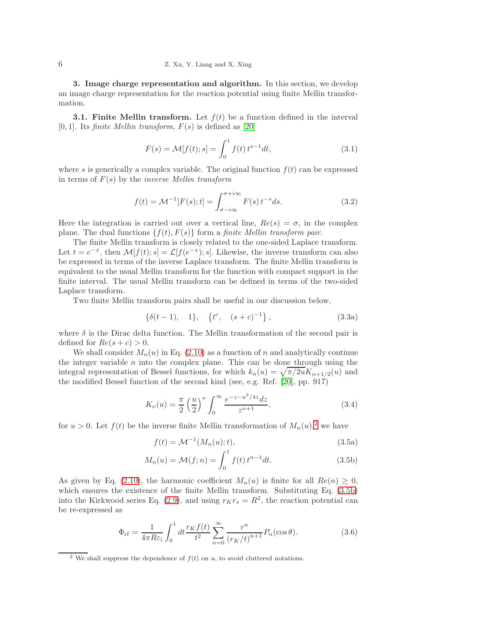3. Image charge representation and algorithm. In this section, we develop an image charge representation for the reaction potential using finite Mellin transformation.

**3.1. Finite Mellin transform.** Let  $f(t)$  be a function defined in the interval [0, 1]. Its *finite Mellin transform,*  $F(s)$  is defined as [\[20\]](#page-18-14)

$$
F(s) = \mathcal{M}[f(t); s] = \int_0^1 f(t) t^{s-1} dt,
$$
\n(3.1)

where s is generically a complex variable. The original function  $f(t)$  can be expressed in terms of  $F(s)$  by the *inverse Mellin transform* 

$$
f(t) = \mathcal{M}^{-1}[F(s);t] = \int_{\sigma - i\infty}^{\sigma + i\infty} F(s) t^{-s} ds.
$$
 (3.2)

Here the integration is carried out over a vertical line,  $Re(s) = \sigma$ , in the complex plane. The dual functions  $\{f(t), F(s)\}\$  form a *finite Mellin transform pair.* 

The finite Mellin transform is closely related to the one-sided Laplace transform. Let  $t = e^{-x}$ , then  $\mathcal{M}[f(t); s] = \mathcal{L}[f(e^{-x}); s]$ . Likewise, the inverse transform can also be expressed in terms of the inverse Laplace transform. The finite Mellin transform is equivalent to the usual Mellin transform for the function with compact support in the finite interval. The usual Mellin transform can be defined in terms of the two-sided Laplace transform.

Two finite Mellin transform pairs shall be useful in our discussion below,

<span id="page-5-3"></span>
$$
\{\delta(t-1), \quad 1\}, \quad \{t^c, \quad (s+c)^{-1}\}, \tag{3.3a}
$$

where  $\delta$  is the Dirac delta function. The Mellin transformation of the second pair is defined for  $Re(s + c) > 0$ .

We shall consider  $M_n(u)$  in Eq. [\(2.10\)](#page-4-1) as a function of n and analytically continue the integer variable  $n$  into the complex plane. This can be done through using the integral representation of Bessel functions, for which  $k_n(u) = \sqrt{\pi/2u}K_{n+1/2}(u)$  and the modified Bessel function of the second kind (see, e.g. Ref. [\[20\]](#page-18-14), pp. 917)

$$
K_{\nu}(u) = \frac{\pi}{2} \left(\frac{u}{2}\right)^{\nu} \int_0^{\infty} \frac{e^{-z - u^2/4z} dz}{z^{\nu+1}},
$$
\n(3.4)

for  $u > 0$ . Let  $f(t)$  be the inverse finite Mellin transformation of  $M_n(u)$ ,<sup>[2](#page-5-0)</sup> we have

<span id="page-5-1"></span>
$$
f(t) = \mathcal{M}^{-1}(M_n(u); t), \tag{3.5a}
$$

$$
M_n(u) = \mathcal{M}(f; n) = \int_0^1 f(t) t^{n-1} dt.
$$
 (3.5b)

As given by Eq. [\(2.10\)](#page-4-1), the harmonic coefficient  $M_n(u)$  is finite for all  $Re(n) \geq 0$ , which ensures the existence of the finite Mellin transform. Substituting Eq. [\(3.5b\)](#page-5-1) into the Kirkwood series Eq. [\(2.9\)](#page-4-2), and using  $r_Kr_s = R^2$ , the reaction potential can be re-expressed as

<span id="page-5-2"></span>
$$
\Phi_{\rm rf} = \frac{1}{4\pi R \varepsilon_{\rm i}} \int_0^1 dt \frac{r_K f(t)}{t^2} \sum_{n=0}^\infty \frac{r^n}{(r_K/t)^{n+1}} P_n(\cos \theta). \tag{3.6}
$$

<span id="page-5-0"></span><sup>&</sup>lt;sup>2</sup> We shall suppress the dependence of  $f(t)$  on u, to avoid cluttered notations.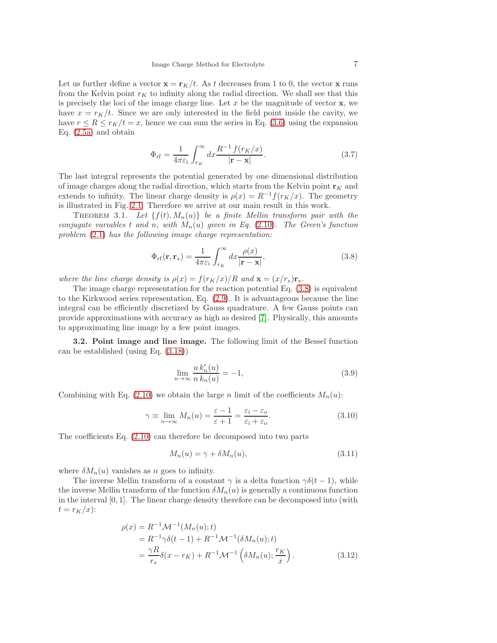Let us further define a vector  $\mathbf{x} = \mathbf{r}_K/t$ . As t decreases from 1 to 0, the vector x runs from the Kelvin point  $r_K$  to infinity along the radial direction. We shall see that this is precisely the loci of the image charge line. Let  $x$  be the magnitude of vector  $x$ , we have  $x = r_K/t$ . Since we are only interested in the field point inside the cavity, we have  $r \leq R \leq r_K/t = x$ , hence we can sum the series in Eq. [\(3.6\)](#page-5-2) using the expansion Eq. [\(2.5a\)](#page-4-3) and obtain

$$
\Phi_{\rm rf} = \frac{1}{4\pi\varepsilon_{\rm i}} \int_{r_K}^{\infty} dx \frac{R^{-1} f(r_K/x)}{|\mathbf{r} - \mathbf{x}|}.\tag{3.7}
$$

The last integral represents the potential generated by one dimensional distribution of image charges along the radial direction, which starts from the Kelvin point  $\mathbf{r}_K$  and extends to infinity. The linear charge density is  $\rho(x) = R^{-1} f(r_K/x)$ . The geometry is illustrated in Fig. [2.1.](#page-13-0) Therefore we arrive at our main result in this work.

<span id="page-6-0"></span>THEOREM 3.1. Let  $\{f(t), M_n(u)\}\$ be a finite Mellin transform pair with the conjugate variables t and n, with  $M_n(u)$  given in Eq. [\(2.10\)](#page-4-1). The Green's function problem [\(2.1\)](#page-3-0) has the following image charge representation:

<span id="page-6-1"></span>
$$
\Phi_{\rm rf}(\mathbf{r}, \mathbf{r}_s) = \frac{1}{4\pi\varepsilon_{\rm i}} \int_{r_K}^{\infty} dx \frac{\rho(x)}{|\mathbf{r} - \mathbf{x}|},\tag{3.8}
$$

where the line charge density is  $\rho(x) = f(r_K/x)/R$  and  $\mathbf{x} = (x/r_s)\mathbf{r}_s$ .

The image charge representation for the reaction potential Eq. [\(3.8\)](#page-6-1) is equivalent to the Kirkwood series representation, Eq. [\(2.9\)](#page-4-2). It is advantageous because the line integral can be efficiently discretized by Gauss quadrature. A few Gauss points can provide approximations with accuracy as high as desired [\[7\]](#page-17-4). Physically, this amounts to approximating line image by a few point images.

3.2. Point image and line image. The following limit of the Bessel function can be established (using Eq. [\(3.18\)](#page-8-0))

$$
\lim_{n \to \infty} \frac{u k'_n(u)}{n k_n(u)} = -1,
$$
\n(3.9)

Combining with Eq. [\(2.10\)](#page-4-1) we obtain the large n limit of the coefficients  $M_n(u)$ :

$$
\gamma \equiv \lim_{n \to \infty} M_n(u) = \frac{\varepsilon - 1}{\varepsilon + 1} = \frac{\varepsilon_i - \varepsilon_o}{\varepsilon_i + \varepsilon_o}.
$$
\n(3.10)

The coefficients Eq. [\(2.10\)](#page-4-1) can therefore be decomposed into two parts

$$
M_n(u) = \gamma + \delta M_n(u),\tag{3.11}
$$

where  $\delta M_n(u)$  vanishes as n goes to infinity.

The inverse Mellin transform of a constant  $\gamma$  is a delta function  $\gamma \delta(t-1)$ , while the inverse Mellin transform of the function  $\delta M_n(u)$  is generally a continuous function in the interval [0, 1]. The linear charge density therefore can be decomposed into (with  $t = r_K/x$ :

$$
\rho(x) = R^{-1} \mathcal{M}^{-1}(M_n(u); t) \n= R^{-1} \gamma \delta(t - 1) + R^{-1} \mathcal{M}^{-1}(\delta M_n(u); t) \n= \frac{\gamma R}{r_s} \delta(x - r_K) + R^{-1} \mathcal{M}^{-1}(\delta M_n(u); \frac{r_K}{x}).
$$
\n(3.12)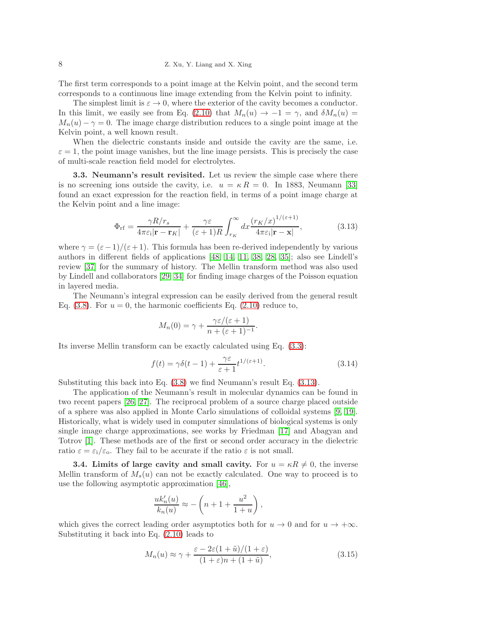The first term corresponds to a point image at the Kelvin point, and the second term corresponds to a continuous line image extending from the Kelvin point to infinity.

The simplest limit is  $\varepsilon \to 0$ , where the exterior of the cavity becomes a conductor. In this limit, we easily see from Eq. [\(2.10\)](#page-4-1) that  $M_n(u) \to -1 = \gamma$ , and  $\delta M_n(u) =$  $M_n(u) - \gamma = 0$ . The image charge distribution reduces to a single point image at the Kelvin point, a well known result.

When the dielectric constants inside and outside the cavity are the same, i.e.  $\varepsilon = 1$ , the point image vanishes, but the line image persists. This is precisely the case of multi-scale reaction field model for electrolytes.

3.3. Neumann's result revisited. Let us review the simple case where there is no screening ions outside the cavity, i.e.  $u = \kappa R = 0$ . In 1883, Neumann [\[33\]](#page-18-1) found an exact expression for the reaction field, in terms of a point image charge at the Kelvin point and a line image:

<span id="page-7-0"></span>
$$
\Phi_{\rm rf} = \frac{\gamma R/r_s}{4\pi\varepsilon_{\rm i}|\mathbf{r} - \mathbf{r}_K|} + \frac{\gamma\varepsilon}{(\varepsilon + 1)R} \int_{r_K}^{\infty} dx \frac{(r_K/x)^{1/(\varepsilon + 1)}}{4\pi\varepsilon_{\rm i}|\mathbf{r} - \mathbf{x}|},\tag{3.13}
$$

where  $\gamma = (\varepsilon - 1)/(\varepsilon + 1)$ . This formula has been re-derived independently by various authors in different fields of applications [\[48,](#page-19-8) [14,](#page-18-15) [11,](#page-18-16) [38,](#page-19-9) [28,](#page-18-17) [35\]](#page-18-18); also see Lindell's review [\[37\]](#page-19-2) for the summary of history. The Mellin transform method was also used by Lindell and collaborators [\[29,](#page-18-19) [34\]](#page-18-20) for finding image charges of the Poisson equation in layered media.

The Neumann's integral expression can be easily derived from the general result Eq. [\(3.8\)](#page-6-1). For  $u = 0$ , the harmonic coefficients Eq. [\(2.10\)](#page-4-1) reduce to,

$$
M_n(0) = \gamma + \frac{\gamma \varepsilon/(\varepsilon + 1)}{n + (\varepsilon + 1)^{-1}}.
$$

Its inverse Mellin transform can be exactly calculated using Eq. [\(3.3\)](#page-5-3):

$$
f(t) = \gamma \delta(t - 1) + \frac{\gamma \varepsilon}{\varepsilon + 1} t^{1/(\varepsilon + 1)}.
$$
\n(3.14)

Substituting this back into Eq. [\(3.8\)](#page-6-1) we find Neumann's result Eq. [\(3.13\)](#page-7-0).

The application of the Neumann's result in molecular dynamics can be found in two recent papers [\[26,](#page-18-21) [27\]](#page-18-22). The reciprocal problem of a source charge placed outside of a sphere was also applied in Monte Carlo simulations of colloidal systems [\[9,](#page-18-23) [19\]](#page-18-24). Historically, what is widely used in computer simulations of biological systems is only single image charge approximations, see works by Friedman [\[17\]](#page-18-25) and Abagyan and Totrov [\[1\]](#page-17-5). These methods are of the first or second order accuracy in the dielectric ratio  $\varepsilon = \varepsilon_i/\varepsilon_o$ . They fail to be accurate if the ratio  $\varepsilon$  is not small.

**3.4.** Limits of large cavity and small cavity. For  $u = \kappa R \neq 0$ , the inverse Mellin transform of  $M_s(u)$  can not be exactly calculated. One way to proceed is to use the following asymptotic approximation [\[46\]](#page-19-4),

$$
\frac{uk_n'(u)}{k_n(u)}\approx -\left(n+1+\frac{u^2}{1+u}\right),
$$

which gives the correct leading order asymptotics both for  $u \to 0$  and for  $u \to +\infty$ . Substituting it back into Eq. [\(2.10\)](#page-4-1) leads to

<span id="page-7-1"></span>
$$
M_n(u) \approx \gamma + \frac{\varepsilon - 2\varepsilon (1 + \tilde{u})/(1 + \varepsilon)}{(1 + \varepsilon)n + (1 + \tilde{u})},\tag{3.15}
$$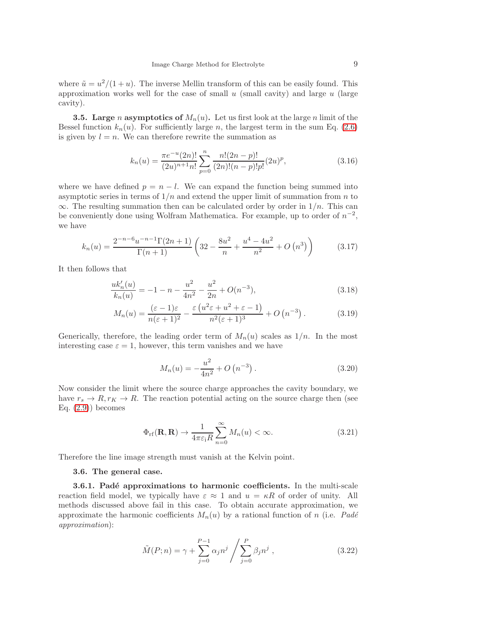where  $\tilde{u} = u^2/(1+u)$ . The inverse Mellin transform of this can be easily found. This approximation works well for the case of small  $u$  (small cavity) and large  $u$  (large cavity).

**3.5.** Large n asymptotics of  $M_n(u)$ . Let us first look at the large n limit of the Bessel function  $k_n(u)$ . For sufficiently large n, the largest term in the sum Eq. [\(2.6\)](#page-4-4) is given by  $l = n$ . We can therefore rewrite the summation as

$$
k_n(u) = \frac{\pi e^{-u}(2n)!}{(2u)^{n+1}n!} \sum_{p=0}^{n} \frac{n!(2n-p)!}{(2n)!(n-p)!p!} (2u)^p,
$$
\n(3.16)

where we have defined  $p = n - l$ . We can expand the function being summed into asymptotic series in terms of  $1/n$  and extend the upper limit of summation from n to  $\infty$ . The resulting summation then can be calculated order by order in  $1/n$ . This can be conveniently done using Wolfram Mathematica. For example, up to order of  $n^{-2}$ , we have

$$
k_n(u) = \frac{2^{-n-6}u^{-n-1}\Gamma(2n+1)}{\Gamma(n+1)}\left(32 - \frac{8u^2}{n} + \frac{u^4 - 4u^2}{n^2} + O\left(n^3\right)\right) \tag{3.17}
$$

It then follows that

<span id="page-8-0"></span>
$$
\frac{uk'_n(u)}{k_n(u)} = -1 - n - \frac{u^2}{4n^2} - \frac{u^2}{2n} + O(n^{-3}),\tag{3.18}
$$

$$
M_n(u) = \frac{(\varepsilon - 1)\varepsilon}{n(\varepsilon + 1)^2} - \frac{\varepsilon (u^2 \varepsilon + u^2 + \varepsilon - 1)}{n^2(\varepsilon + 1)^3} + O(n^{-3}).
$$
 (3.19)

Generically, therefore, the leading order term of  $M_n(u)$  scales as  $1/n$ . In the most interesting case  $\varepsilon = 1$ , however, this term vanishes and we have

$$
M_n(u) = -\frac{u^2}{4n^2} + O\left(n^{-3}\right). \tag{3.20}
$$

Now consider the limit where the source charge approaches the cavity boundary, we have  $r_s \to R, r_K \to R$ . The reaction potential acting on the source charge then (see Eq.  $(2.9)$ ) becomes

$$
\Phi_{\rm rf}(\mathbf{R}, \mathbf{R}) \to \frac{1}{4\pi\varepsilon_{\rm i}R} \sum_{n=0}^{\infty} M_n(u) < \infty. \tag{3.21}
$$

Therefore the line image strength must vanish at the Kelvin point.

#### 3.6. The general case.

3.6.1. Padé approximations to harmonic coefficients. In the multi-scale reaction field model, we typically have  $\varepsilon \approx 1$  and  $u = \kappa R$  of order of unity. All methods discussed above fail in this case. To obtain accurate approximation, we approximate the harmonic coefficients  $M_n(u)$  by a rational function of n (i.e. Padé approximation):

<span id="page-8-1"></span>
$$
\tilde{M}(P;n) = \gamma + \sum_{j=0}^{P-1} \alpha_j n^j / \sum_{j=0}^{P} \beta_j n^j , \qquad (3.22)
$$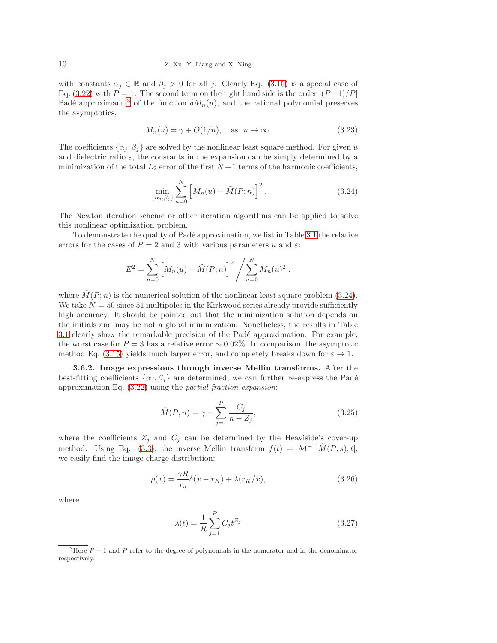with constants  $\alpha_j \in \mathbb{R}$  and  $\beta_j > 0$  for all j. Clearly Eq. [\(3.15\)](#page-7-1) is a special case of Eq. [\(3.22\)](#page-8-1) with  $P = 1$ . The second term on the right hand side is the order  $[(P-1)/P]$ Padé approximant <sup>[3](#page-9-0)</sup> of the function  $\delta M_n(u)$ , and the rational polynomial preserves the asymptotics,

$$
M_n(u) = \gamma + O(1/n), \quad \text{as} \quad n \to \infty. \tag{3.23}
$$

The coefficients  $\{\alpha_j, \beta_j\}$  are solved by the nonlinear least square method. For given u and dielectric ratio  $\varepsilon$ , the constants in the expansion can be simply determined by a minimization of the total  $L_2$  error of the first  $N+1$  terms of the harmonic coefficients,

<span id="page-9-1"></span>
$$
\min_{\{\alpha_j,\beta_j\}} \sum_{n=0}^N \left[ M_n(u) - \tilde{M}(P;n) \right]^2.
$$
\n(3.24)

The Newton iteration scheme or other iteration algorithms can be applied to solve this nonlinear optimization problem.

To demonstrate the quality of Pad´e approximation, we list in Table [3.1](#page-14-0) the relative errors for the cases of  $P = 2$  and 3 with various parameters u and  $\varepsilon$ .

$$
E^{2} = \sum_{n=0}^{N} \left[ M_{n}(u) - \tilde{M}(P; n) \right]^{2} / \sum_{n=0}^{N} M_{n}(u)^{2} ,
$$

where  $\tilde{M}(P; n)$  is the numerical solution of the nonlinear least square problem [\(3.24\)](#page-9-1). We take  $N = 50$  since 51 multipoles in the Kirkwood series already provide sufficiently high accuracy. It should be pointed out that the minimization solution depends on the initials and may be not a global minimization. Nonetheless, the results in Table [3.1](#page-14-0) clearly show the remarkable precision of the Padé approximation. For example, the worst case for  $P = 3$  has a relative error  $\sim 0.02\%$ . In comparison, the asymptotic method Eq. [\(3.15\)](#page-7-1) yields much larger error, and completely breaks down for  $\varepsilon \to 1$ .

3.6.2. Image expressions through inverse Mellin transforms. After the best-fitting coefficients  $\{\alpha_i, \beta_i\}$  are determined, we can further re-express the Padé approximation Eq. [\(3.22\)](#page-8-1) using the partial fraction expansion:

<span id="page-9-3"></span>
$$
\tilde{M}(P;n) = \gamma + \sum_{j=1}^{P} \frac{C_j}{n + Z_j},
$$
\n(3.25)

where the coefficients  $Z_j$  and  $C_j$  can be determined by the Heaviside's cover-up method. Using Eq. [\(3.3\)](#page-5-3), the inverse Mellin transform  $f(t) = \mathcal{M}^{-1}[\tilde{M}(P; s); t]$ , we easily find the image charge distribution:

$$
\rho(x) = \frac{\gamma R}{r_s} \delta(x - r_K) + \lambda(r_K/x),\tag{3.26}
$$

where

<span id="page-9-2"></span>
$$
\lambda(t) = \frac{1}{R} \sum_{j=1}^{P} C_j t^{Z_j}
$$
\n(3.27)

<span id="page-9-0"></span><sup>&</sup>lt;sup>3</sup>Here  $P-1$  and P refer to the degree of polynomials in the numerator and in the denominator respectively.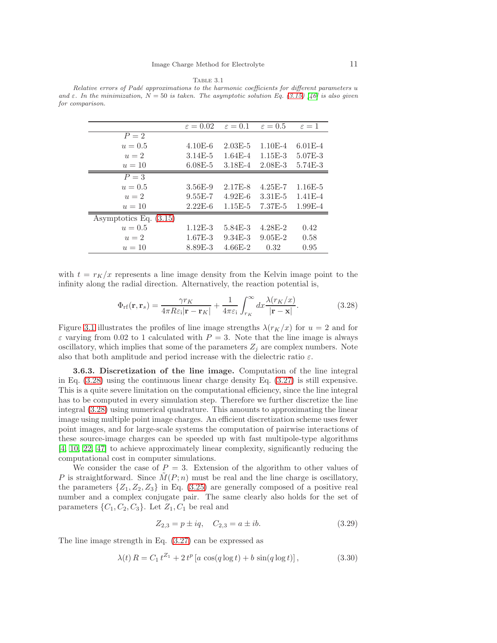Table 3.1 Relative errors of Padé approximations to the harmonic coefficients for different parameters u and  $\varepsilon$ . In the minimization,  $N = 50$  is taken. The asymptotic solution Eq. [\(3.15\)](#page-7-1) [\[46\]](#page-19-4) is also given for comparison.

|                          | $\varepsilon = 0.02$ | $\varepsilon = 0.1$ | $\varepsilon = 0.5$ | $\varepsilon=1$ |
|--------------------------|----------------------|---------------------|---------------------|-----------------|
| $P=2$                    |                      |                     |                     |                 |
| $u = 0.5$                | $4.10E-6$            | $2.03E - 5$         | $1.10E - 4$         | $6.01E - 4$     |
| $u=2$                    | $3.14E - 5$          | $1.64E - 4$         | $1.15E-3$           | 5.07E-3         |
| $u=10$                   | $6.08E - 5$          | $3.18E - 4$         | $2.08E - 3$         | 5.74E-3         |
| $P = 3$                  |                      |                     |                     |                 |
| $u = 0.5$                | $3.56E-9$            | 2.17E-8             | $4.25E - 7$         | $1.16E-5$       |
| $u=2$                    | $9.55E - 7$          | $4.92E-6$           | $3.31E - 5$         | $1.41E - 4$     |
| $u=10$                   | $2.22E-6$            | $1.15E-5$           | 7.37E-5             | $1.99E-4$       |
| Asymptotics Eq. $(3.15)$ |                      |                     |                     |                 |
| $u = 0.5$                | $1.12E-3$            | 5.84E-3             | $4.28E - 2$         | 0.42            |
| $u=2$                    | $1.67E - 3$          | $9.34E - 3$         | $9.05E-2$           | 0.58            |
| $u=10$                   | 8.89E-3              | $4.66E - 2$         | 0.32                | 0.95            |

with  $t = r_K/x$  represents a line image density from the Kelvin image point to the infinity along the radial direction. Alternatively, the reaction potential is,

<span id="page-10-0"></span>
$$
\Phi_{\rm rf}(\mathbf{r}, \mathbf{r}_s) = \frac{\gamma r_K}{4\pi R \varepsilon_{\rm i} |\mathbf{r} - \mathbf{r}_K|} + \frac{1}{4\pi \varepsilon_{\rm i}} \int_{r_K}^{\infty} dx \frac{\lambda(r_K/x)}{|\mathbf{r} - \mathbf{x}|}.
$$
\n(3.28)

Figure [3.1](#page-13-0) illustrates the profiles of line image strengths  $\lambda(r_K/x)$  for  $u = 2$  and for  $\varepsilon$  varying from 0.02 to 1 calculated with  $P = 3$ . Note that the line image is always oscillatory, which implies that some of the parameters  $Z_j$  are complex numbers. Note also that both amplitude and period increase with the dielectric ratio  $\varepsilon$ .

3.6.3. Discretization of the line image. Computation of the line integral in Eq.  $(3.28)$  using the continuous linear charge density Eq.  $(3.27)$  is still expensive. This is a quite severe limitation on the computational efficiency, since the line integral has to be computed in every simulation step. Therefore we further discretize the line integral [\(3.28\)](#page-10-0) using numerical quadrature. This amounts to approximating the linear image using multiple point image charges. An efficient discretization scheme uses fewer point images, and for large-scale systems the computation of pairwise interactions of these source-image charges can be speeded up with fast multipole-type algorithms [\[4,](#page-17-1) [10,](#page-18-10) [22,](#page-18-11) [47\]](#page-19-10) to achieve approximately linear complexity, significantly reducing the computational cost in computer simulations.

We consider the case of  $P = 3$ . Extension of the algorithm to other values of P is straightforward. Since  $M(P; n)$  must be real and the line charge is oscillatory, the parameters  $\{Z_1, Z_2, Z_3\}$  in Eq. [\(3.25\)](#page-9-3) are generally composed of a positive real number and a complex conjugate pair. The same clearly also holds for the set of parameters  $\{C_1, C_2, C_3\}$ . Let  $Z_1, C_1$  be real and

$$
Z_{2,3} = p \pm iq, \quad C_{2,3} = a \pm ib.
$$
\n(3.29)

The line image strength in Eq. [\(3.27\)](#page-9-2) can be expressed as

<span id="page-10-1"></span>
$$
\lambda(t) R = C_1 t^{Z_1} + 2 t^p [a \cos(q \log t) + b \sin(q \log t)], \qquad (3.30)
$$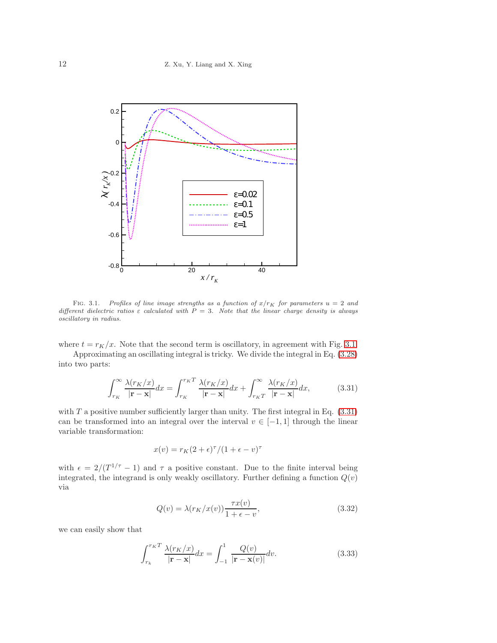

FIG. 3.1. Profiles of line image strengths as a function of  $x/r_K$  for parameters  $u = 2$  and different dielectric ratios  $\varepsilon$  calculated with  $\overline{P} = 3$ . Note that the linear charge density is always oscillatory in radius.

where  $t = r_K/x$ . Note that the second term is oscillatory, in agreement with Fig. [3.1.](#page-13-0)

Approximating an oscillating integral is tricky. We divide the integral in Eq. [\(3.28\)](#page-10-0) into two parts:

<span id="page-11-0"></span>
$$
\int_{r_K}^{\infty} \frac{\lambda(r_K/x)}{|\mathbf{r} - \mathbf{x}|} dx = \int_{r_K}^{r_K T} \frac{\lambda(r_K/x)}{|\mathbf{r} - \mathbf{x}|} dx + \int_{r_K T}^{\infty} \frac{\lambda(r_K/x)}{|\mathbf{r} - \mathbf{x}|} dx,
$$
(3.31)

with  $T$  a positive number sufficiently larger than unity. The first integral in Eq.  $(3.31)$ can be transformed into an integral over the interval  $v \in [-1,1]$  through the linear variable transformation:

$$
x(v) = r_K(2+\epsilon)^{\tau}/(1+\epsilon-v)^{\tau}
$$

with  $\epsilon = 2/(T^{1/\tau} - 1)$  and  $\tau$  a positive constant. Due to the finite interval being integrated, the integrand is only weakly oscillatory. Further defining a function  $Q(v)$ via

$$
Q(v) = \lambda(r_K/x(v)) \frac{\tau x(v)}{1 + \epsilon - v},
$$
\n(3.32)

we can easily show that

$$
\int_{r_k}^{r_K T} \frac{\lambda(r_K/x)}{|\mathbf{r} - \mathbf{x}|} dx = \int_{-1}^{1} \frac{Q(v)}{|\mathbf{r} - \mathbf{x}(v)|} dv.
$$
 (3.33)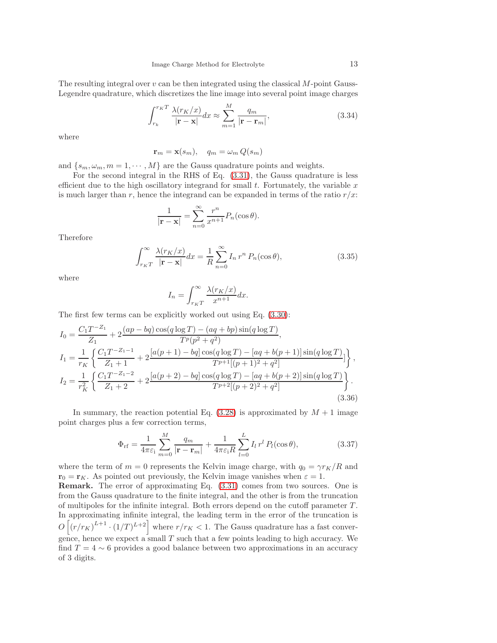The resulting integral over  $v$  can be then integrated using the classical  $M$ -point Gauss-Legendre quadrature, which discretizes the line image into several point image charges

$$
\int_{r_k}^{r_K T} \frac{\lambda(r_K/x)}{|\mathbf{r} - \mathbf{x}|} dx \approx \sum_{m=1}^{M} \frac{q_m}{|\mathbf{r} - \mathbf{r}_m|},
$$
(3.34)

where

$$
\mathbf{r}_m = \mathbf{x}(s_m), \quad q_m = \omega_m \, Q(s_m)
$$

and  $\{s_m, \omega_m, m = 1, \cdots, M\}$  are the Gauss quadrature points and weights.

For the second integral in the RHS of Eq. [\(3.31\)](#page-11-0), the Gauss quadrature is less efficient due to the high oscillatory integrand for small  $t$ . Fortunately, the variable  $x$ is much larger than r, hence the integrand can be expanded in terms of the ratio  $r/x$ .

$$
\frac{1}{|\mathbf{r} - \mathbf{x}|} = \sum_{n=0}^{\infty} \frac{r^n}{x^{n+1}} P_n(\cos \theta).
$$

Therefore

$$
\int_{rKT}^{\infty} \frac{\lambda(r_K/x)}{|\mathbf{r} - \mathbf{x}|} dx = \frac{1}{R} \sum_{n=0}^{\infty} I_n r^n P_n(\cos \theta), \qquad (3.35)
$$

where

$$
I_n = \int_{r_K T}^{\infty} \frac{\lambda(r_K/x)}{x^{n+1}} dx.
$$

The first few terms can be explicitly worked out using Eq. [\(3.30\)](#page-10-1):

$$
I_0 = \frac{C_1 T^{-Z_1}}{Z_1} + 2 \frac{(ap - bq)\cos(q\log T) - (aq + bp)\sin(q\log T)}{T^p(p^2 + q^2)},
$$
  
\n
$$
I_1 = \frac{1}{r_K} \left\{ \frac{C_1 T^{-Z_1 - 1}}{Z_1 + 1} + 2 \frac{[a(p + 1) - bq]\cos(q\log T) - [aq + b(p + 1)]\sin(q\log T)}{T^{p+1}[(p + 1)^2 + q^2]} \right\},
$$
  
\n
$$
I_2 = \frac{1}{r_K^2} \left\{ \frac{C_1 T^{-Z_1 - 2}}{Z_1 + 2} + 2 \frac{[a(p + 2) - bq]\cos(q\log T) - [aq + b(p + 2)]\sin(q\log T)}{T^{p+2}[(p + 2)^2 + q^2]} \right\}.
$$
  
\n(3.36)

In summary, the reaction potential Eq.  $(3.28)$  is approximated by  $M + 1$  image point charges plus a few correction terms,

<span id="page-12-0"></span>
$$
\Phi_{\rm rf} = \frac{1}{4\pi\varepsilon_{\rm i}} \sum_{m=0}^{M} \frac{q_m}{|\mathbf{r} - \mathbf{r}_m|} + \frac{1}{4\pi\varepsilon_{\rm i}R} \sum_{l=0}^{L} I_l r^l P_l(\cos\theta), \tag{3.37}
$$

where the term of  $m = 0$  represents the Kelvin image charge, with  $q_0 = \gamma r_K/R$  and  $\mathbf{r}_0 = \mathbf{r}_K$ . As pointed out previously, the Kelvin image vanishes when  $\varepsilon = 1$ . Remark. The error of approximating Eq. [\(3.31\)](#page-11-0) comes from two sources. One is from the Gauss quadrature to the finite integral, and the other is from the truncation of multipoles for the infinite integral. Both errors depend on the cutoff parameter  $T$ . In approximating infinite integral, the leading term in the error of the truncation is  $O\left[\left(r/r_K\right)^{L+1}\cdot\left(1/T\right)^{L+2}\right]$  where  $r/r_K < 1$ . The Gauss quadrature has a fast convergence, hence we expect a small  $T$  such that a few points leading to high accuracy. We find  $T = 4 \sim 6$  provides a good balance between two approximations in an accuracy of 3 digits.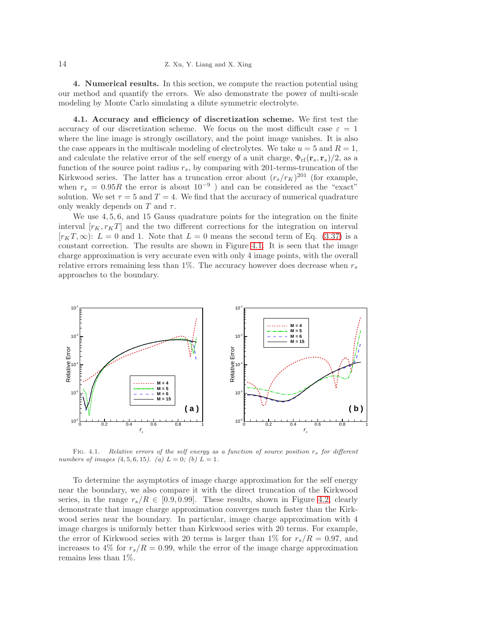4. Numerical results. In this section, we compute the reaction potential using our method and quantify the errors. We also demonstrate the power of multi-scale modeling by Monte Carlo simulating a dilute symmetric electrolyte.

4.1. Accuracy and efficiency of discretization scheme. We first test the accuracy of our discretization scheme. We focus on the most difficult case  $\varepsilon = 1$ where the line image is strongly oscillatory, and the point image vanishes. It is also the case appears in the multiscale modeling of electrolytes. We take  $u = 5$  and  $R = 1$ , and calculate the relative error of the self energy of a unit charge,  $\Phi_{\rm rf}({\bf r}_s, {\bf r}_s)/2$ , as a function of the source point radius  $r_s$ , by comparing with 201-terms-truncation of the Kirkwood series. The latter has a truncation error about  $(r_s/r_K)^{201}$  (for example, when  $r_s = 0.95R$  the error is about  $10^{-9}$ ) and can be considered as the "exact" solution. We set  $\tau = 5$  and  $T = 4$ . We find that the accuracy of numerical quadrature only weakly depends on T and  $\tau$ .

We use  $4, 5, 6$ , and 15 Gauss quadrature points for the integration on the finite interval  $[r<sub>K</sub>, r<sub>K</sub>T]$  and the two different corrections for the integration on interval  $[r_KT,\infty): L = 0$  and 1. Note that  $L = 0$  means the second term of Eq. [\(3.37\)](#page-12-0) is a constant correction. The results are shown in Figure [4.1.](#page-13-0) It is seen that the image charge approximation is very accurate even with only 4 image points, with the overall relative errors remaining less than 1%. The accuracy however does decrease when  $r_s$ approaches to the boundary.



<span id="page-13-0"></span>FIG. 4.1. Relative errors of the self energy as a function of source position  $r_s$  for different numbers of images  $(4, 5, 6, 15)$ . (a)  $L = 0$ ; (b)  $L = 1$ .

To determine the asymptotics of image charge approximation for the self energy near the boundary, we also compare it with the direct truncation of the Kirkwood series, in the range  $r_s/R \in [0.9, 0.99]$ . These results, shown in Figure [4.2,](#page-14-1) clearly demonstrate that image charge approximation converges much faster than the Kirkwood series near the boundary. In particular, image charge approximation with 4 image charges is uniformly better than Kirkwood series with 20 terms. For example, the error of Kirkwood series with 20 terms is larger than 1% for  $r_s/R = 0.97$ , and increases to 4% for  $r_s/R = 0.99$ , while the error of the image charge approximation remains less than 1%.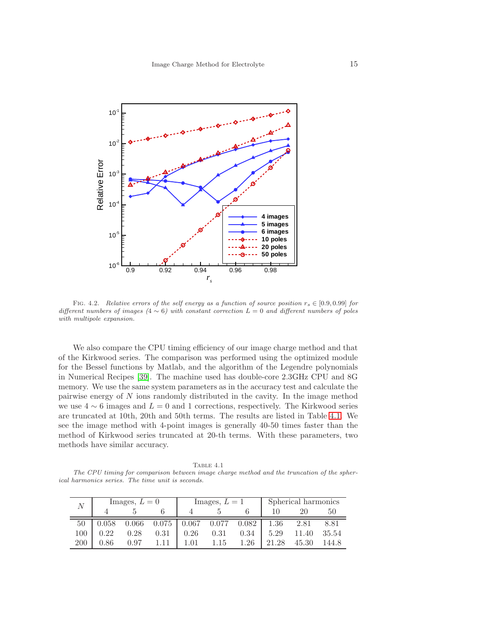

<span id="page-14-1"></span>FIG. 4.2. Relative errors of the self energy as a function of source position  $r_s \in [0.9, 0.99]$  for different numbers of images  $(4 \sim 6)$  with constant correction  $L = 0$  and different numbers of poles with multipole expansion.

We also compare the CPU timing efficiency of our image charge method and that of the Kirkwood series. The comparison was performed using the optimized module for the Bessel functions by Matlab, and the algorithm of the Legendre polynomials in Numerical Recipes [\[39\]](#page-19-11). The machine used has double-core 2.3GHz CPU and 8G memory. We use the same system parameters as in the accuracy test and calculate the pairwise energy of N ions randomly distributed in the cavity. In the image method we use  $4 \sim 6$  images and  $L = 0$  and 1 corrections, respectively. The Kirkwood series are truncated at 10th, 20th and 50th terms. The results are listed in Table [4.1.](#page-14-0) We see the image method with 4-point images is generally 40-50 times faster than the method of Kirkwood series truncated at 20-th terms. With these parameters, two methods have similar accuracy.

<span id="page-14-0"></span>TABLE  $4.1$ The CPU timing for comparison between image charge method and the truncation of the spherical harmonics series. The time unit is seconds.

| $\mathcal{N}$ | Images, $L=0$ |       | Images, $L = 1$ |       |       | Spherical harmonics |       |       |       |
|---------------|---------------|-------|-----------------|-------|-------|---------------------|-------|-------|-------|
|               |               |       |                 |       |       |                     |       |       | 50    |
| 50            | 0.058         | 0.066 | 0.075           | 0.067 | 0.077 | 0.082               | 1.36  | 2.81  | 8.81  |
| 100           | 0.22          | 0.28  | 0.31            | 0.26  | 0.31  | 0.34                | 5.29  | 11.40 | 35.54 |
| 200           | 0.86          | 0.97  |                 | 1 01  | 1 15  | 1 26                | 21.28 | 45.30 | 144.8 |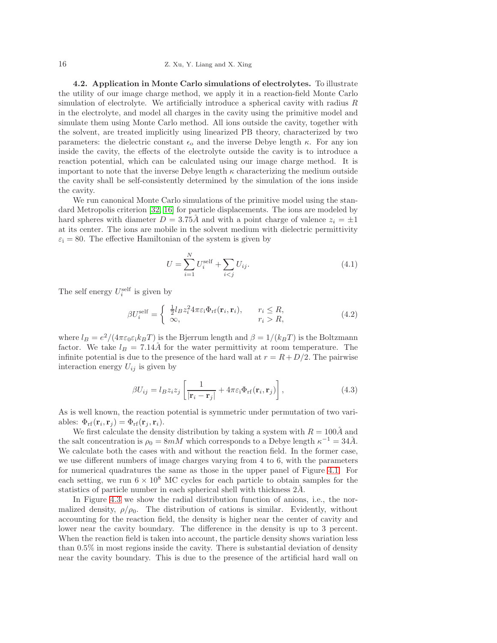## 16 Z. Xu, Y. Liang and X. Xing

4.2. Application in Monte Carlo simulations of electrolytes. To illustrate the utility of our image charge method, we apply it in a reaction-field Monte Carlo simulation of electrolyte. We artificially introduce a spherical cavity with radius R in the electrolyte, and model all charges in the cavity using the primitive model and simulate them using Monte Carlo method. All ions outside the cavity, together with the solvent, are treated implicitly using linearized PB theory, characterized by two parameters: the dielectric constant  $\epsilon_0$  and the inverse Debye length  $\kappa$ . For any ion inside the cavity, the effects of the electrolyte outside the cavity is to introduce a reaction potential, which can be calculated using our image charge method. It is important to note that the inverse Debye length  $\kappa$  characterizing the medium outside the cavity shall be self-consistently determined by the simulation of the ions inside the cavity.

We run canonical Monte Carlo simulations of the primitive model using the standard Metropolis criterion [\[32,](#page-18-26) [16\]](#page-18-27) for particle displacements. The ions are modeled by hard spheres with diameter  $D = 3.75\AA$  and with a point charge of valence  $z_i = \pm 1$ at its center. The ions are mobile in the solvent medium with dielectric permittivity  $\varepsilon_i = 80$ . The effective Hamiltonian of the system is given by

$$
U = \sum_{i=1}^{N} U_i^{\text{self}} + \sum_{i < j} U_{ij}.\tag{4.1}
$$

The self energy  $U_i^{\text{self}}$  is given by

<span id="page-15-0"></span>
$$
\beta U_i^{\text{self}} = \begin{cases} \frac{1}{2} l_B z_i^2 4\pi \varepsilon_i \Phi_{\text{rf}}(\mathbf{r}_i, \mathbf{r}_i), & r_i \le R, \\ \infty, & r_i > R, \end{cases}
$$
(4.2)

where  $l_B = e^2/(4\pi\varepsilon_0\varepsilon_ik_BT)$  is the Bjerrum length and  $\beta = 1/(k_BT)$  is the Boltzmann factor. We take  $l_B = 7.14\text{Å}$  for the water permittivity at room temperature. The infinite potential is due to the presence of the hard wall at  $r = R + D/2$ . The pairwise interaction energy  $U_{ij}$  is given by

$$
\beta U_{ij} = l_B z_i z_j \left[ \frac{1}{|\mathbf{r}_i - \mathbf{r}_j|} + 4\pi \varepsilon_i \Phi_{\rm rf}(\mathbf{r}_i, \mathbf{r}_j) \right],\tag{4.3}
$$

As is well known, the reaction potential is symmetric under permutation of two variables:  $\Phi_{\rm rf}({\bf r}_i,{\bf r}_j)=\Phi_{\rm rf}({\bf r}_j,{\bf r}_i).$ 

We first calculate the density distribution by taking a system with  $R = 100\AA$  and the salt concentration is  $\rho_0 = 8mM$  which corresponds to a Debye length  $\kappa^{-1} = 34\AA$ . We calculate both the cases with and without the reaction field. In the former case, we use different numbers of image charges varying from 4 to 6, with the parameters for numerical quadratures the same as those in the upper panel of Figure [4.1.](#page-13-0) For each setting, we run  $6 \times 10^8$  MC cycles for each particle to obtain samples for the statistics of particle number in each spherical shell with thickness  $2\AA$ .

In Figure [4.3](#page-16-0) we show the radial distribution function of anions, i.e., the normalized density,  $\rho/\rho_0$ . The distribution of cations is similar. Evidently, without accounting for the reaction field, the density is higher near the center of cavity and lower near the cavity boundary. The difference in the density is up to 3 percent. When the reaction field is taken into account, the particle density shows variation less than 0.5% in most regions inside the cavity. There is substantial deviation of density near the cavity boundary. This is due to the presence of the artificial hard wall on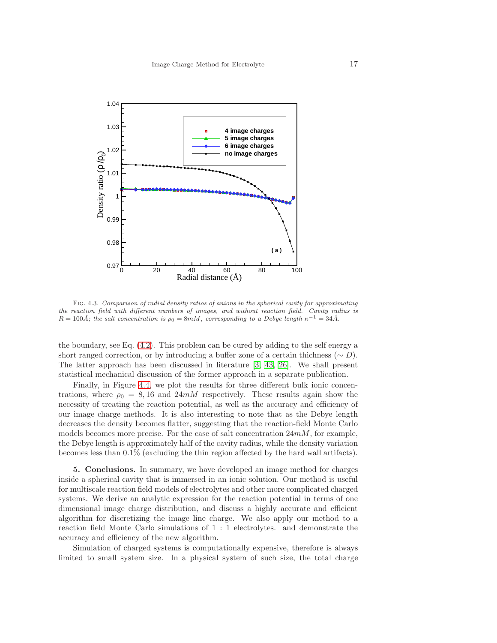

<span id="page-16-0"></span>Fig. 4.3. Comparison of radial density ratios of anions in the spherical cavity for approximating the reaction field with different numbers of images, and without reaction field. Cavity radius is  $R = 100\text{\AA}$ ; the salt concentration is  $\rho_0 = 8 \text{mM}$ , corresponding to a Debye length  $\kappa^{-1} = 34\text{\AA}$ .

the boundary, see Eq. [\(4.2\)](#page-15-0). This problem can be cured by adding to the self energy a short ranged correction, or by introducing a buffer zone of a certain thichness ( $\sim D$ ). The latter approach has been discussed in literature [\[3,](#page-17-6) [43,](#page-19-12) [26\]](#page-18-21). We shall present statistical mechanical discussion of the former approach in a separate publication.

Finally, in Figure [4.4,](#page-17-7) we plot the results for three different bulk ionic concentrations, where  $\rho_0 = 8, 16$  and  $24mM$  respectively. These results again show the necessity of treating the reaction potential, as well as the accuracy and efficiency of our image charge methods. It is also interesting to note that as the Debye length decreases the density becomes flatter, suggesting that the reaction-field Monte Carlo models becomes more precise. For the case of salt concentration  $24m$ , for example, the Debye length is approximately half of the cavity radius, while the density variation becomes less than 0.1% (excluding the thin region affected by the hard wall artifacts).

5. Conclusions. In summary, we have developed an image method for charges inside a spherical cavity that is immersed in an ionic solution. Our method is useful for multiscale reaction field models of electrolytes and other more complicated charged systems. We derive an analytic expression for the reaction potential in terms of one dimensional image charge distribution, and discuss a highly accurate and efficient algorithm for discretizing the image line charge. We also apply our method to a reaction field Monte Carlo simulations of 1 : 1 electrolytes. and demonstrate the accuracy and efficiency of the new algorithm.

Simulation of charged systems is computationally expensive, therefore is always limited to small system size. In a physical system of such size, the total charge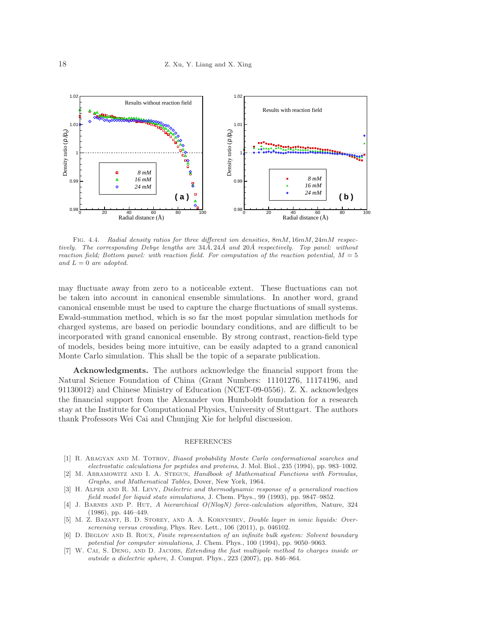

<span id="page-17-7"></span>FIG. 4.4. Radial density ratios for three different ion densities,  $8mM, 16mM, 24mM$  respectively. The corresponding Debye lengths are  $34\AA$ ,  $24\AA$  and  $20\AA$  respectively. Top panel: without reaction field; Bottom panel: with reaction field. For computation of the reaction potential,  $M = 5$ and  $L = 0$  are adopted.

may fluctuate away from zero to a noticeable extent. These fluctuations can not be taken into account in canonical ensemble simulations. In another word, grand canonical ensemble must be used to capture the charge fluctuations of small systems. Ewald-summation method, which is so far the most popular simulation methods for charged systems, are based on periodic boundary conditions, and are difficult to be incorporated with grand canonical ensemble. By strong contrast, reaction-field type of models, besides being more intuitive, can be easily adapted to a grand canonical Monte Carlo simulation. This shall be the topic of a separate publication.

Acknowledgments. The authors acknowledge the financial support from the Natural Science Foundation of China (Grant Numbers: 11101276, 11174196, and 91130012) and Chinese Ministry of Education (NCET-09-0556). Z. X. acknowledges the financial support from the Alexander von Humboldt foundation for a research stay at the Institute for Computational Physics, University of Stuttgart. The authors thank Professors Wei Cai and Chunjing Xie for helpful discussion.

## REFERENCES

- <span id="page-17-5"></span>[1] R. Abagyan and M. Totrov, Biased probability Monte Carlo conformational searches and electrostatic calculations for peptides and proteins, J. Mol. Biol., 235 (1994), pp. 983–1002.
- <span id="page-17-2"></span>[2] M. Abramowitz and I. A. Stegun, Handbook of Mathematical Functions with Formulas, Graphs, and Mathematical Tables, Dover, New York, 1964.
- <span id="page-17-6"></span>[3] H. Alper and R. M. Levy, Dielectric and thermodynamic response of a generalized reaction field model for liquid state simulations, J. Chem. Phys., 99 (1993), pp. 9847–9852.
- <span id="page-17-1"></span>[4] J. Barnes and P. Hut, A hierarchical O(NlogN) force-calculation algorithm, Nature, 324 (1986), pp. 446–449.
- <span id="page-17-0"></span>[5] M. Z. Bazant, B. D. Storey, and A. A. Kornyshev, Double layer in ionic liquids: Overscreening versus crowding, Phys. Rev. Lett., 106 (2011), p. 046102.
- <span id="page-17-3"></span>[6] D. BEGLOV AND B. ROUX, Finite representation of an infinite bulk system: Solvent boundary potential for computer simulations, J. Chem. Phys., 100 (1994), pp. 9050–9063.
- <span id="page-17-4"></span>[7] W. CAI, S. DENG, AND D. JACOBS, *Extending the fast multipole method to charges inside or* outside a dielectric sphere, J. Comput. Phys., 223 (2007), pp. 846–864.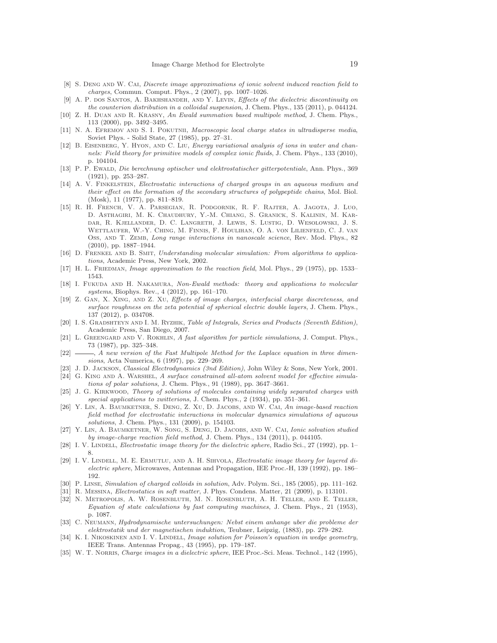- <span id="page-18-2"></span>[8] S. DENG AND W. CAI, Discrete image approximations of ionic solvent induced reaction field to charges, Commun. Comput. Phys., 2 (2007), pp. 1007–1026.
- <span id="page-18-23"></span>[9] A. P. dos SANTOS, A. BAKHSHANDEH, AND Y. LEVIN, Effects of the dielectric discontinuity on the counterion distribution in a colloidal suspension, J. Chem. Phys., 135 (2011), p. 044124.
- <span id="page-18-10"></span>[10] Z. H. DUAN AND R. KRASNY, An Ewald summation based multipole method, J. Chem. Phys., 113 (2000), pp. 3492–3495.
- <span id="page-18-16"></span>[11] N. A. EFREMOV AND S. I. POKUTNII, Macroscopic local charge states in ultradisperse media, Soviet Phys. - Solid State, 27 (1985), pp. 27–31.
- <span id="page-18-3"></span>[12] B. EISENBERG, Y. HYON, AND C. LIU, Energy variational analysis of ions in water and channels: Field theory for primitive models of complex ionic fluids, J. Chem. Phys., 133 (2010), p. 104104.
- <span id="page-18-6"></span>[13] P. P. Ewald, Die berechnung optischer und elektrostatischer gitterpotentiale, Ann. Phys., 369 (1921), pp. 253–287.
- <span id="page-18-15"></span>[14] A. V. FINKELSTEIN, Electrostatic interactions of charged groups in an aqueous medium and their effect on the formation of the secondary structures of polypeptide chains, Mol. Biol. (Mosk), 11 (1977), pp. 811–819.
- <span id="page-18-5"></span>[15] R. H. French, V. A. Parsegian, R. Podgornik, R. F. Rajter, A. Jagota, J. Luo, D. Asthagiri, M. K. Chaudhury, Y.-M. Chiang, S. Granick, S. Kalinin, M. Kardar, R. Kjellander, D. C. Langreth, J. Lewis, S. Lustig, D. Wesolowski, J. S. Wettlaufer, W.-Y. Ching, M. Finnis, F. Houlihan, O. A. von Lilienfeld, C. J. van OSS, AND T. ZEMB, Long range interactions in nanoscale science, Rev. Mod. Phys., 82 (2010), pp. 1887–1944.
- <span id="page-18-27"></span>[16] D. FRENKEL AND B. SMIT, Understanding molecular simulation: From algorithms to applications, Academic Press, New York, 2002.
- <span id="page-18-25"></span><span id="page-18-7"></span>[17] H. L. FRIEDMAN, *Image approximation to the reaction field*, Mol. Phys., 29 (1975), pp. 1533– 1543.
- [18] I. FUKUDA AND H. NAKAMURA, Non-Ewald methods: theory and applications to molecular systems, Biophys. Rev., 4 (2012), pp. 161–170.
- <span id="page-18-24"></span>[19] Z. Gan, X. Xing, and Z. Xu, Effects of image charges, interfacial charge discreteness, and surface roughness on the zeta potential of spherical electric double layers, J. Chem. Phys., 137 (2012), p. 034708.
- <span id="page-18-14"></span>[20] I. S. Gradshteyn and I. M. Ryzhik, Table of Integrals, Series and Products (Seventh Edition), Academic Press, San Diego, 2007.
- <span id="page-18-9"></span>[21] L. GREENGARD AND V. ROKHLIN, A fast algorithm for particle simulations, J. Comput. Phys., 73 (1987), pp. 325–348.
- <span id="page-18-11"></span>[22]  $\longrightarrow$ , A new version of the Fast Multipole Method for the Laplace equation in three dimensions, Acta Numerica, 6 (1997), pp. 229–269.
- <span id="page-18-13"></span><span id="page-18-0"></span>[23] J. D. Jackson, Classical Electrodynamics (3nd Edition), John Wiley & Sons, New York, 2001.
- [24] G. KING AND A. WARSHEL, A surface constrained all-atom solvent model for effective simulations of polar solutions, J. Chem. Phys., 91 (1989), pp. 3647–3661.
- <span id="page-18-12"></span>[25] J. G. KIRKWOOD, Theory of solutions of molecules containing widely separated charges with special applications to zwitterions, J. Chem. Phys., 2 (1934), pp. 351–361.
- <span id="page-18-21"></span>[26] Y. LIN, A. BAUMKETNER, S. DENG, Z. XU, D. JACOBS, AND W. CAI, An image-based reaction field method for electrostatic interactions in molecular dynamics simulations of aqueous solutions, J. Chem. Phys., 131 (2009), p. 154103.
- <span id="page-18-22"></span>[27] Y. Lin, A. Baumketner, W. Song, S. Deng, D. Jacobs, and W. Cai, Ionic solvation studied by image-charge reaction field method, J. Chem. Phys., 134 (2011), p. 044105.
- <span id="page-18-17"></span>[28] I. V. LINDELL, *Electrostatic image theory for the dielectric sphere*, Radio Sci., 27 (1992), pp. 1– 8.
- <span id="page-18-19"></span>[29] I. V. LINDELL, M. E. ERMUTLU, AND A. H. SIHVOLA, Electrostatic image theory for layered dielectric sphere, Microwaves, Antennas and Propagation, IEE Proc.-H, 139 (1992), pp. 186– 192.
- <span id="page-18-8"></span><span id="page-18-4"></span>[30] P. Linse, Simulation of charged colloids in solution, Adv. Polym. Sci., 185 (2005), pp. 111–162.
- <span id="page-18-26"></span>[31] R. Messina, Electrostatics in soft matter, J. Phys. Condens. Matter, 21 (2009), p. 113101.
- [32] N. Metropolis, A. W. Rosenbluth, M. N. Rosenbluth, A. H. Teller, and E. Teller, Equation of state calculations by fast computing machines, J. Chem. Phys., 21 (1953), p. 1087.
- <span id="page-18-1"></span>[33] C. Neumann, Hydrodynamische untersuchungen: Nebst einem anhange uber die probleme der elektrostatik und der magnetischen induktion, Teubner, Leipzig, (1883), pp. 279–282.
- <span id="page-18-20"></span>[34] K. I. NIKOSKINEN AND I. V. LINDELL, *Image solution for Poisson's equation in wedge geometry*, IEEE Trans. Antennas Propag., 43 (1995), pp. 179–187.
- <span id="page-18-18"></span>[35] W. T. Noras, Charge images in a dielectric sphere, IEE Proc.-Sci. Meas. Technol., 142 (1995),